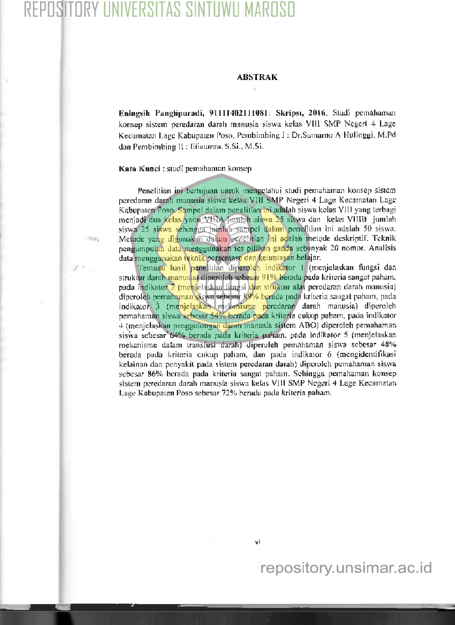# REPOSITORY UNIVERSITAS SINTUWU MARO:

## **ABSTRAK**

Eningsih Panglipuradi, 91111402111081: Skripsi, 2016. Studi pemahaman konsep sistem peredaran darah manusia siswa kelas VIII SMP Negeri 4 Lage Kecamatan Lage Kabupaten Poso, Pembimbing L: Dr.Sumarno A Hulinggi, M.Pd dan Pembimbing II ; Eliaumra, S.Si., M.Si.

## Kata Kunci: studi pemahaman konsep

orga

Penelitian ini bertujuan untuk mengetahui studi pemahaman konsep sistem peredaran darah manusia siswa kelas VIII SMP Negeri 4 Lage Kecamatan Lage Kabupaten Poso. Sampel dalam penelitian ini adalah siswa kelas VIII yang terbagi menjadi dua kelas yaitu VfRA jumlah siswa 25 siswa dan kelas VIIIB jumlah siswa 25 siswa sehingga jamlah sampel dalam penelitian ini adalah 50 siswa. Metode yang digunakan dalam genelitian ini adalah metode deskriptif. Teknik pengumpulan data menggunakan tes pilihan ganda sebanyak 20 nomor. Analisis data menggunakan teknik persentase dan ketuntasan belajar.

Temuan hasil penelitian diperoleh indikator I (menjelaskan fungsi dan struktur darah manusia) diperoleh sebesar 91% berada pada kriteria sangat paham, pada indikator 2 (menjelaskan fangsi dan struktur alat peredaran darah manusia) diperoleh pemahaman siswa sebesar 89% berada pada kriteria sangat paham, pada indikator 3 (menjelaskan mekanisme peredaran darah manusia) diperoleh pemahaman siswa sebesar 54% berada pada kriteria cukup paham, pada indikator 4 (menjelaskan penggolongan darah manusia sistem ABO) diperoleh pemahaman siswa sebesar 64% berada pada kriteria paham, pada indikator 5 (menjelaskan mekanisme dalam transfusi darah) diperoleh pemahaman siswa sebesar 48% berada pada kriteria cukup paham, dan pada indikator 6 (mengidentifikasi kelainan dan penyakit pada sistem peredaran darah) diperoleh pemahaman siswa sebesar 86% berada pada kriteria sangat paham. Sehingga pemahaman konsepsistem peredaran darah manusia siswa kelas VIII SMP Negeri 4 Lage Kecamatan Lage Kabupaten Poso sebesar 72% berada pada kriteria paham,

vi